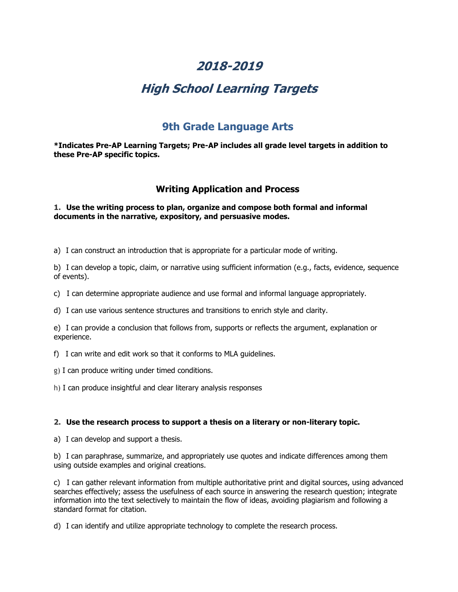# **2018-2019**

# **High School Learning Targets**

# **9th Grade Language Arts**

**\*Indicates Pre-AP Learning Targets; Pre-AP includes all grade level targets in addition to these Pre-AP specific topics.**

# **Writing Application and Process**

## **1. Use the writing process to plan, organize and compose both formal and informal documents in the narrative, expository, and persuasive modes.**

a) I can construct an introduction that is appropriate for a particular mode of writing.

b) I can develop a topic, claim, or narrative using sufficient information (e.g., facts, evidence, sequence of events).

c) I can determine appropriate audience and use formal and informal language appropriately.

d) I can use various sentence structures and transitions to enrich style and clarity.

e) I can provide a conclusion that follows from, supports or reflects the argument, explanation or experience.

f) I can write and edit work so that it conforms to MLA guidelines.

g) I can produce writing under timed conditions.

h) I can produce insightful and clear literary analysis responses

## **2. Use the research process to support a thesis on a literary or non-literary topic.**

a) I can develop and support a thesis.

b) I can paraphrase, summarize, and appropriately use quotes and indicate differences among them using outside examples and original creations.

c) I can gather relevant information from multiple authoritative print and digital sources, using advanced searches effectively; assess the usefulness of each source in answering the research question; integrate information into the text selectively to maintain the flow of ideas, avoiding plagiarism and following a standard format for citation.

d) I can identify and utilize appropriate technology to complete the research process.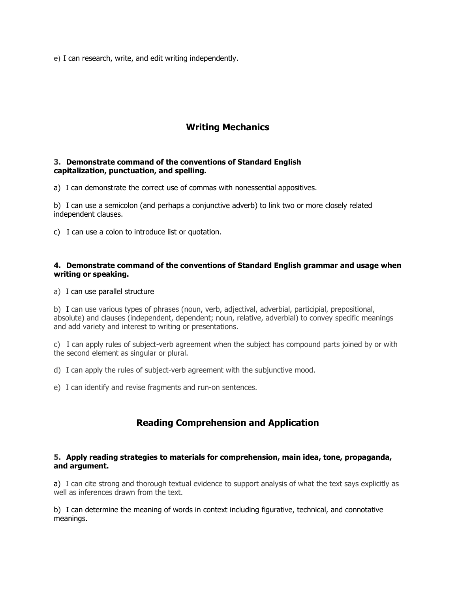e) I can research, write, and edit writing independently.

# **Writing Mechanics**

### **3. Demonstrate command of the conventions of Standard English capitalization, punctuation, and spelling.**

a) I can demonstrate the correct use of commas with nonessential appositives.

b) I can use a semicolon (and perhaps a conjunctive adverb) to link two or more closely related independent clauses.

c) I can use a colon to introduce list or quotation.

## **4. Demonstrate command of the conventions of Standard English grammar and usage when writing or speaking.**

a) I can use parallel structure

b) I can use various types of phrases (noun, verb, adjectival, adverbial, participial, prepositional, absolute) and clauses (independent, dependent; noun, relative, adverbial) to convey specific meanings and add variety and interest to writing or presentations.

c) I can apply rules of subject-verb agreement when the subject has compound parts joined by or with the second element as singular or plural.

- d) I can apply the rules of subject-verb agreement with the subjunctive mood.
- e) I can identify and revise fragments and run-on sentences.

# **Reading Comprehension and Application**

#### **5. Apply reading strategies to materials for comprehension, main idea, tone, propaganda, and argument.**

a) I can cite strong and thorough textual evidence to support analysis of what the text says explicitly as well as inferences drawn from the text.

b) I can determine the meaning of words in context including figurative, technical, and connotative meanings.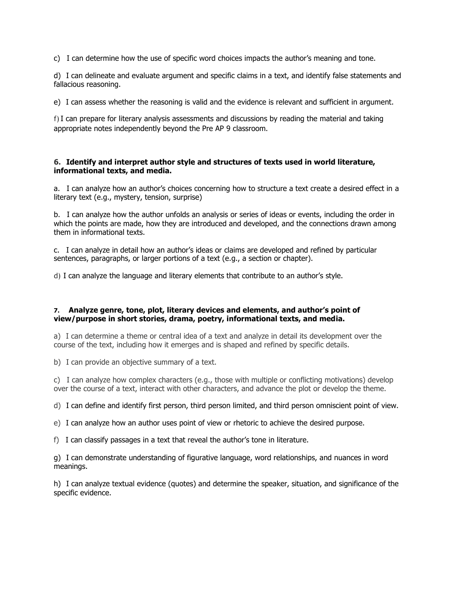c) I can determine how the use of specific word choices impacts the author's meaning and tone.

d) I can delineate and evaluate argument and specific claims in a text, and identify false statements and fallacious reasoning.

e) I can assess whether the reasoning is valid and the evidence is relevant and sufficient in argument.

f)I can prepare for literary analysis assessments and discussions by reading the material and taking appropriate notes independently beyond the Pre AP 9 classroom.

#### **6. Identify and interpret author style and structures of texts used in world literature, informational texts, and media.**

a. I can analyze how an author's choices concerning how to structure a text create a desired effect in a literary text (e.g., mystery, tension, surprise)

b. I can analyze how the author unfolds an analysis or series of ideas or events, including the order in which the points are made, how they are introduced and developed, and the connections drawn among them in informational texts.

c. I can analyze in detail how an author's ideas or claims are developed and refined by particular sentences, paragraphs, or larger portions of a text (e.g., a section or chapter).

d) I can analyze the language and literary elements that contribute to an author's style.

### **7. Analyze genre, tone, plot, literary devices and elements, and author's point of view/purpose in short stories, drama, poetry, informational texts, and media.**

a) I can determine a theme or central idea of a text and analyze in detail its development over the course of the text, including how it emerges and is shaped and refined by specific details.

b) I can provide an objective summary of a text.

c) I can analyze how complex characters (e.g., those with multiple or conflicting motivations) develop over the course of a text, interact with other characters, and advance the plot or develop the theme.

d) I can define and identify first person, third person limited, and third person omniscient point of view.

e) I can analyze how an author uses point of view or rhetoric to achieve the desired purpose.

f) I can classify passages in a text that reveal the author's tone in literature.

g) I can demonstrate understanding of figurative language, word relationships, and nuances in word meanings.

h) I can analyze textual evidence (quotes) and determine the speaker, situation, and significance of the specific evidence.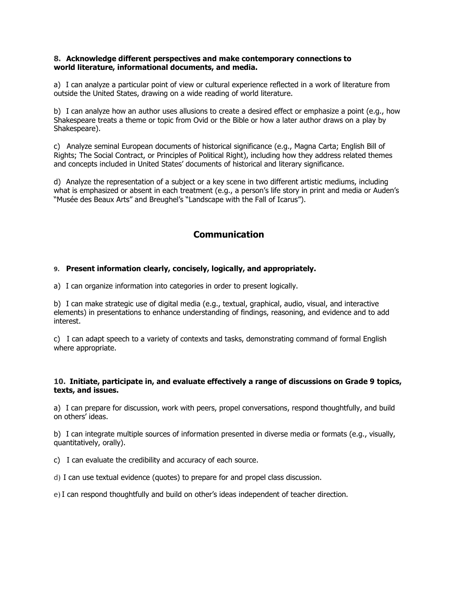### **8. Acknowledge different perspectives and make contemporary connections to world literature, informational documents, and media.**

a) I can analyze a particular point of view or cultural experience reflected in a work of literature from outside the United States, drawing on a wide reading of world literature.

b) I can analyze how an author uses allusions to create a desired effect or emphasize a point (e.g., how Shakespeare treats a theme or topic from Ovid or the Bible or how a later author draws on a play by Shakespeare).

c) Analyze seminal European documents of historical significance (e.g., Magna Carta; English Bill of Rights; The Social Contract, or Principles of Political Right), including how they address related themes and concepts included in United States' documents of historical and literary significance.

d) Analyze the representation of a subject or a key scene in two different artistic mediums, including what is emphasized or absent in each treatment (e.g., a person's life story in print and media or Auden's "Musée des Beaux Arts" and Breughel's "Landscape with the Fall of Icarus").

# **Communication**

# **9. Present information clearly, concisely, logically, and appropriately.**

a) I can organize information into categories in order to present logically.

b) I can make strategic use of digital media (e.g., textual, graphical, audio, visual, and interactive elements) in presentations to enhance understanding of findings, reasoning, and evidence and to add interest.

c) I can adapt speech to a variety of contexts and tasks, demonstrating command of formal English where appropriate.

### **10. Initiate, participate in, and evaluate effectively a range of discussions on Grade 9 topics, texts, and issues.**

a) I can prepare for discussion, work with peers, propel conversations, respond thoughtfully, and build on others' ideas.

b) I can integrate multiple sources of information presented in diverse media or formats (e.g., visually, quantitatively, orally).

c) I can evaluate the credibility and accuracy of each source.

d) I can use textual evidence (quotes) to prepare for and propel class discussion.

e)I can respond thoughtfully and build on other's ideas independent of teacher direction.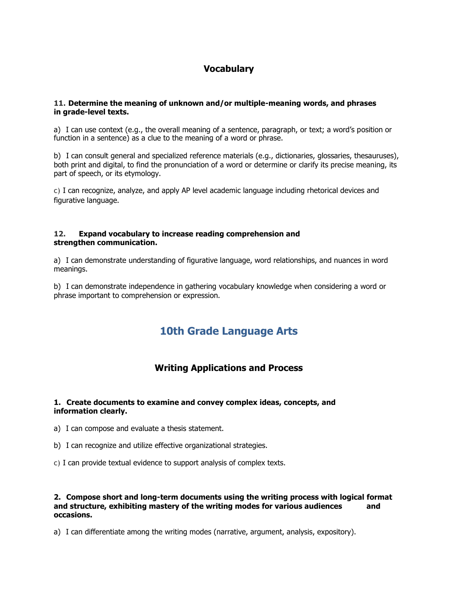# **Vocabulary**

### **11. Determine the meaning of unknown and/or multiple-meaning words, and phrases in grade-level texts.**

a) I can use context (e.g., the overall meaning of a sentence, paragraph, or text; a word's position or function in a sentence) as a clue to the meaning of a word or phrase.

b) I can consult general and specialized reference materials (e.g., dictionaries, glossaries, thesauruses), both print and digital, to find the pronunciation of a word or determine or clarify its precise meaning, its part of speech, or its etymology.

c) I can recognize, analyze, and apply AP level academic language including rhetorical devices and figurative language.

## **12. Expand vocabulary to increase reading comprehension and strengthen communication.**

a) I can demonstrate understanding of figurative language, word relationships, and nuances in word meanings.

b) I can demonstrate independence in gathering vocabulary knowledge when considering a word or phrase important to comprehension or expression.

# **10th Grade Language Arts**

# **Writing Applications and Process**

#### **1. Create documents to examine and convey complex ideas, concepts, and information clearly.**

a) I can compose and evaluate a thesis statement.

- b) I can recognize and utilize effective organizational strategies.
- c) I can provide textual evidence to support analysis of complex texts.

#### **2. Compose short and long-term documents using the writing process with logical format and structure, exhibiting mastery of the writing modes for various audiences and occasions.**

a) I can differentiate among the writing modes (narrative, argument, analysis, expository).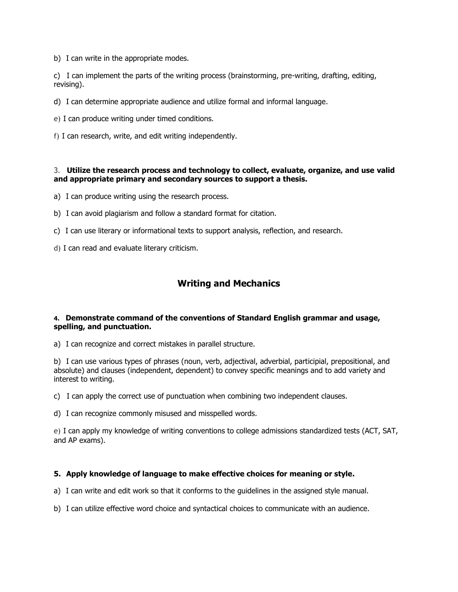b) I can write in the appropriate modes.

c) I can implement the parts of the writing process (brainstorming, pre-writing, drafting, editing, revising).

d) I can determine appropriate audience and utilize formal and informal language.

- e) I can produce writing under timed conditions.
- f) I can research, write, and edit writing independently.

#### 3. **Utilize the research process and technology to collect, evaluate, organize, and use valid and appropriate primary and secondary sources to support a thesis.**

- a) I can produce writing using the research process.
- b) I can avoid plagiarism and follow a standard format for citation.
- c) I can use literary or informational texts to support analysis, reflection, and research.
- d) I can read and evaluate literary criticism.

# **Writing and Mechanics**

### **4. Demonstrate command of the conventions of Standard English grammar and usage, spelling, and punctuation.**

a) I can recognize and correct mistakes in parallel structure.

b) I can use various types of phrases (noun, verb, adjectival, adverbial, participial, prepositional, and absolute) and clauses (independent, dependent) to convey specific meanings and to add variety and interest to writing.

c) I can apply the correct use of punctuation when combining two independent clauses.

d) I can recognize commonly misused and misspelled words.

e) I can apply my knowledge of writing conventions to college admissions standardized tests (ACT, SAT, and AP exams).

## **5. Apply knowledge of language to make effective choices for meaning or style.**

a) I can write and edit work so that it conforms to the guidelines in the assigned style manual.

b) I can utilize effective word choice and syntactical choices to communicate with an audience.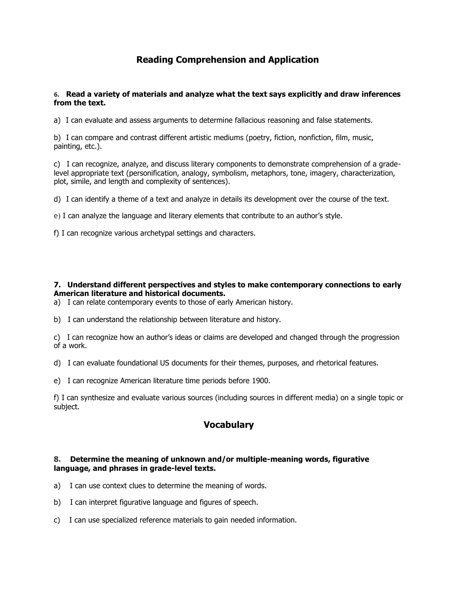# **Reading Comprehension and Application**

### **6. Read a variety of materials and analyze what the text says explicitly and draw inferences from the text.**

a) I can evaluate and assess arguments to determine fallacious reasoning and false statements.

b) I can compare and contrast different artistic mediums (poetry, fiction, nonfiction, film, music, painting, etc.).

c) I can recognize, analyze, and discuss literary components to demonstrate comprehension of a gradelevel appropriate text (personification, analogy, symbolism, metaphors, tone, imagery, characterization, plot, simile, and length and complexity of sentences).

d) I can identify a theme of a text and analyze in details its development over the course of the text.

e) I can analyze the language and literary elements that contribute to an author's style.

f) I can recognize various archetypal settings and characters.

#### **7. Understand different perspectives and styles to make contemporary connections to early American literature and historical documents.**

a) I can relate contemporary events to those of early American history.

b) I can understand the relationship between literature and history.

c) I can recognize how an author's ideas or claims are developed and changed through the progression of a work.

d) I can evaluate foundational US documents for their themes, purposes, and rhetorical features.

e) I can recognize American literature time periods before 1900.

f) I can synthesize and evaluate various sources (including sources in different media) on a single topic or subject.

# **Vocabulary**

### **8. Determine the meaning of unknown and/or multiple-meaning words, figurative language, and phrases in grade-level texts.**

- a) I can use context clues to determine the meaning of words.
- b) I can interpret figurative language and figures of speech.
- c) I can use specialized reference materials to gain needed information.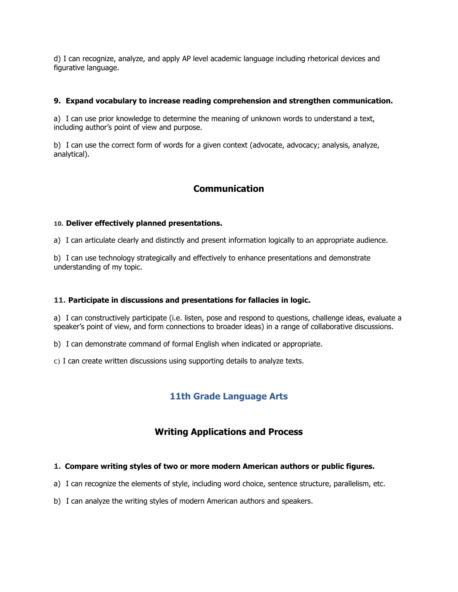d) I can recognize, analyze, and apply AP level academic language including rhetorical devices and figurative language.

## **9. Expand vocabulary to increase reading comprehension and strengthen communication.**

a) I can use prior knowledge to determine the meaning of unknown words to understand a text, including author's point of view and purpose.

b) I can use the correct form of words for a given context (advocate, advocacy; analysis, analyze, analytical).

# **Communication**

### **10. Deliver effectively planned presentations.**

a) I can articulate clearly and distinctly and present information logically to an appropriate audience.

b) I can use technology strategically and effectively to enhance presentations and demonstrate understanding of my topic.

#### **11. Participate in discussions and presentations for fallacies in logic.**

a) I can constructively participate (i.e. listen, pose and respond to questions, challenge ideas, evaluate a speaker's point of view, and form connections to broader ideas) in a range of collaborative discussions.

b) I can demonstrate command of formal English when indicated or appropriate.

c) I can create written discussions using supporting details to analyze texts.

# **11th Grade Language Arts**

# **Writing Applications and Process**

## **1. Compare writing styles of two or more modern American authors or public figures.**

a) I can recognize the elements of style, including word choice, sentence structure, parallelism, etc.

b) I can analyze the writing styles of modern American authors and speakers.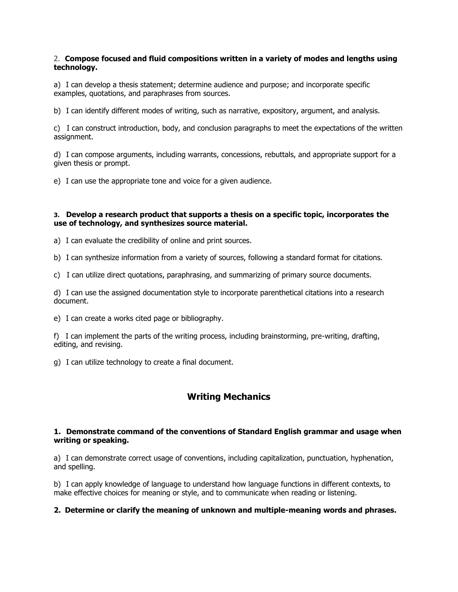### 2. **Compose focused and fluid compositions written in a variety of modes and lengths using technology.**

a) I can develop a thesis statement; determine audience and purpose; and incorporate specific examples, quotations, and paraphrases from sources.

b) I can identify different modes of writing, such as narrative, expository, argument, and analysis.

c) I can construct introduction, body, and conclusion paragraphs to meet the expectations of the written assignment.

d) I can compose arguments, including warrants, concessions, rebuttals, and appropriate support for a given thesis or prompt.

e) I can use the appropriate tone and voice for a given audience.

#### **3. Develop a research product that supports a thesis on a specific topic, incorporates the use of technology, and synthesizes source material.**

a) I can evaluate the credibility of online and print sources.

b) I can synthesize information from a variety of sources, following a standard format for citations.

c) I can utilize direct quotations, paraphrasing, and summarizing of primary source documents.

d) I can use the assigned documentation style to incorporate parenthetical citations into a research document.

e) I can create a works cited page or bibliography.

f) I can implement the parts of the writing process, including brainstorming, pre-writing, drafting, editing, and revising.

g) I can utilize technology to create a final document.

# **Writing Mechanics**

### **1. Demonstrate command of the conventions of Standard English grammar and usage when writing or speaking.**

a) I can demonstrate correct usage of conventions, including capitalization, punctuation, hyphenation, and spelling.

b) I can apply knowledge of language to understand how language functions in different contexts, to make effective choices for meaning or style, and to communicate when reading or listening.

## **2. Determine or clarify the meaning of unknown and multiple-meaning words and phrases.**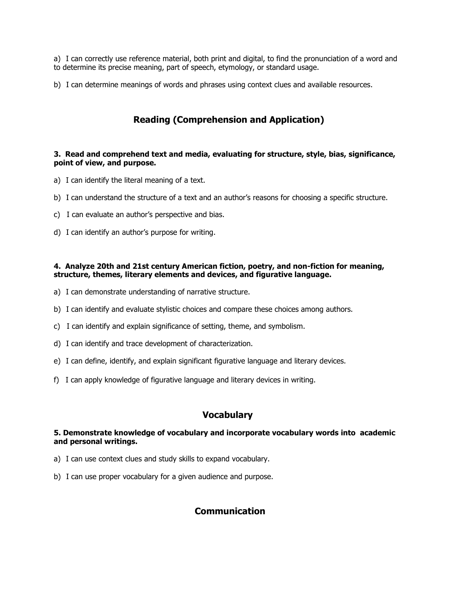a) I can correctly use reference material, both print and digital, to find the pronunciation of a word and to determine its precise meaning, part of speech, etymology, or standard usage.

b) I can determine meanings of words and phrases using context clues and available resources.

# **Reading (Comprehension and Application)**

## **3. Read and comprehend text and media, evaluating for structure, style, bias, significance, point of view, and purpose.**

- a) I can identify the literal meaning of a text.
- b) I can understand the structure of a text and an author's reasons for choosing a specific structure.
- c) I can evaluate an author's perspective and bias.
- d) I can identify an author's purpose for writing.

### **4. Analyze 20th and 21st century American fiction, poetry, and non-fiction for meaning, structure, themes, literary elements and devices, and figurative language.**

- a) I can demonstrate understanding of narrative structure.
- b) I can identify and evaluate stylistic choices and compare these choices among authors.
- c) I can identify and explain significance of setting, theme, and symbolism.
- d) I can identify and trace development of characterization.
- e) I can define, identify, and explain significant figurative language and literary devices.
- f) I can apply knowledge of figurative language and literary devices in writing.

# **Vocabulary**

### **5. Demonstrate knowledge of vocabulary and incorporate vocabulary words into academic and personal writings.**

- a) I can use context clues and study skills to expand vocabulary.
- b) I can use proper vocabulary for a given audience and purpose.

# **Communication**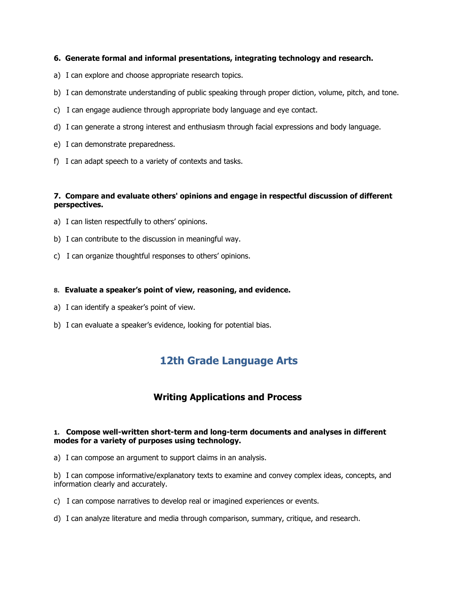## **6. Generate formal and informal presentations, integrating technology and research.**

- a) I can explore and choose appropriate research topics.
- b) I can demonstrate understanding of public speaking through proper diction, volume, pitch, and tone.
- c) I can engage audience through appropriate body language and eye contact.
- d) I can generate a strong interest and enthusiasm through facial expressions and body language.
- e) I can demonstrate preparedness.
- f) I can adapt speech to a variety of contexts and tasks.

## **7. Compare and evaluate others' opinions and engage in respectful discussion of different perspectives.**

- a) I can listen respectfully to others' opinions.
- b) I can contribute to the discussion in meaningful way.
- c) I can organize thoughtful responses to others' opinions.

#### **8. Evaluate a speaker's point of view, reasoning, and evidence.**

- a) I can identify a speaker's point of view.
- b) I can evaluate a speaker's evidence, looking for potential bias.

# **12th Grade Language Arts**

# **Writing Applications and Process**

### **1. Compose well-written short-term and long-term documents and analyses in different modes for a variety of purposes using technology.**

a) I can compose an argument to support claims in an analysis.

b) I can compose informative/explanatory texts to examine and convey complex ideas, concepts, and information clearly and accurately.

- c) I can compose narratives to develop real or imagined experiences or events.
- d) I can analyze literature and media through comparison, summary, critique, and research.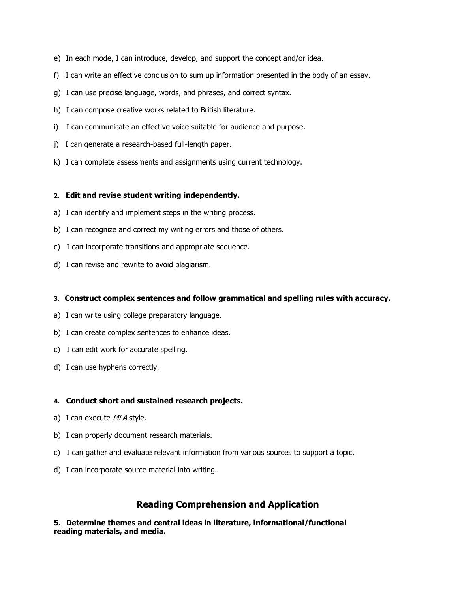- e) In each mode, I can introduce, develop, and support the concept and/or idea.
- f) I can write an effective conclusion to sum up information presented in the body of an essay.
- g) I can use precise language, words, and phrases, and correct syntax.
- h) I can compose creative works related to British literature.
- i) I can communicate an effective voice suitable for audience and purpose.
- j) I can generate a research-based full-length paper.
- k) I can complete assessments and assignments using current technology.

#### **2. Edit and revise student writing independently.**

- a) I can identify and implement steps in the writing process.
- b) I can recognize and correct my writing errors and those of others.
- c) I can incorporate transitions and appropriate sequence.
- d) I can revise and rewrite to avoid plagiarism.

#### **3. Construct complex sentences and follow grammatical and spelling rules with accuracy.**

- a) I can write using college preparatory language.
- b) I can create complex sentences to enhance ideas.
- c) I can edit work for accurate spelling.
- d) I can use hyphens correctly.

#### **4. Conduct short and sustained research projects.**

- a) I can execute  $MLA$  style.
- b) I can properly document research materials.
- c) I can gather and evaluate relevant information from various sources to support a topic.
- d) I can incorporate source material into writing.

# **Reading Comprehension and Application**

**5. Determine themes and central ideas in literature, informational/functional reading materials, and media.**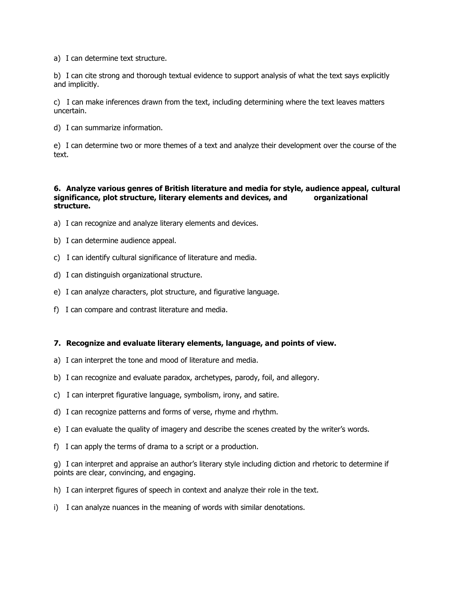a) I can determine text structure.

b) I can cite strong and thorough textual evidence to support analysis of what the text says explicitly and implicitly.

c) I can make inferences drawn from the text, including determining where the text leaves matters uncertain.

d) I can summarize information.

e) I can determine two or more themes of a text and analyze their development over the course of the text.

#### **6. Analyze various genres of British literature and media for style, audience appeal, cultural significance, plot structure, literary elements and devices, and organizational structure.**

- a) I can recognize and analyze literary elements and devices.
- b) I can determine audience appeal.
- c) I can identify cultural significance of literature and media.
- d) I can distinguish organizational structure.
- e) I can analyze characters, plot structure, and figurative language.
- f) I can compare and contrast literature and media.

## **7. Recognize and evaluate literary elements, language, and points of view.**

- a) I can interpret the tone and mood of literature and media.
- b) I can recognize and evaluate paradox, archetypes, parody, foil, and allegory.
- c) I can interpret figurative language, symbolism, irony, and satire.
- d) I can recognize patterns and forms of verse, rhyme and rhythm.
- e) I can evaluate the quality of imagery and describe the scenes created by the writer's words.
- f) I can apply the terms of drama to a script or a production.

g) I can interpret and appraise an author's literary style including diction and rhetoric to determine if points are clear, convincing, and engaging.

- h) I can interpret figures of speech in context and analyze their role in the text.
- i) I can analyze nuances in the meaning of words with similar denotations.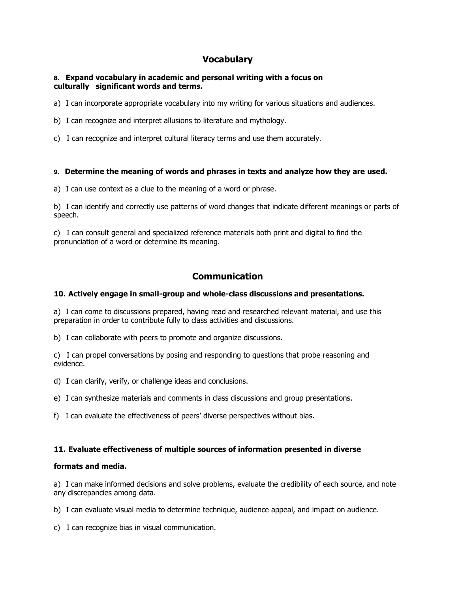# **Vocabulary**

### **8. Expand vocabulary in academic and personal writing with a focus on culturally significant words and terms.**

- a) I can incorporate appropriate vocabulary into my writing for various situations and audiences.
- b) I can recognize and interpret allusions to literature and mythology.
- c) I can recognize and interpret cultural literacy terms and use them accurately.

## **9. Determine the meaning of words and phrases in texts and analyze how they are used.**

a) I can use context as a clue to the meaning of a word or phrase.

b) I can identify and correctly use patterns of word changes that indicate different meanings or parts of speech.

c) I can consult general and specialized reference materials both print and digital to find the pronunciation of a word or determine its meaning.

# **Communication**

## **10. Actively engage in small-group and whole-class discussions and presentations.**

a) I can come to discussions prepared, having read and researched relevant material, and use this preparation in order to contribute fully to class activities and discussions.

b) I can collaborate with peers to promote and organize discussions.

c) I can propel conversations by posing and responding to questions that probe reasoning and evidence.

- d) I can clarify, verify, or challenge ideas and conclusions.
- e) I can synthesize materials and comments in class discussions and group presentations.
- f) I can evaluate the effectiveness of peers' diverse perspectives without bias**.**

## **11. Evaluate effectiveness of multiple sources of information presented in diverse**

## **formats and media.**

a) I can make informed decisions and solve problems, evaluate the credibility of each source, and note any discrepancies among data.

- b) I can evaluate visual media to determine technique, audience appeal, and impact on audience.
- c) I can recognize bias in visual communication.